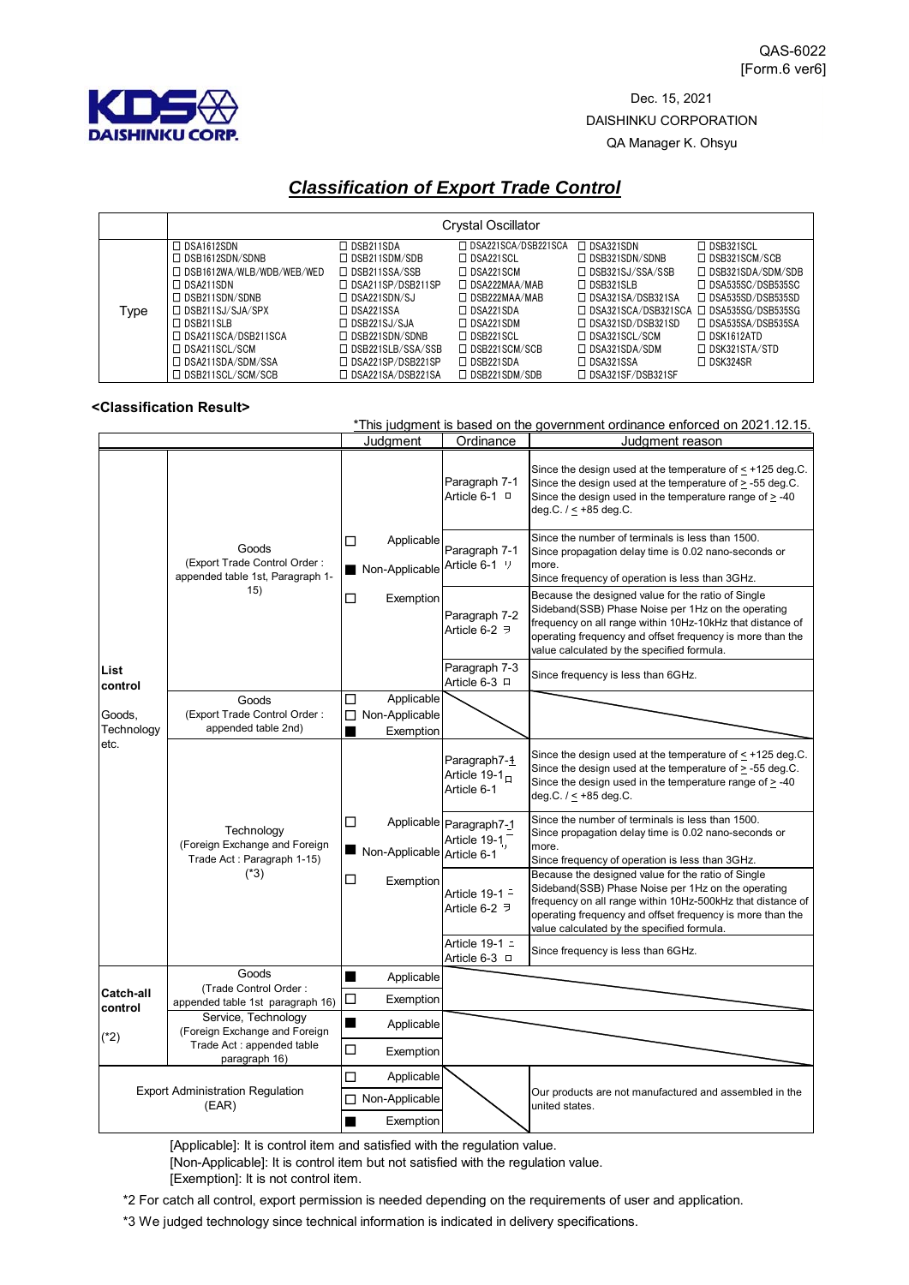

Dec. 15, 2021 DAISHINKU CORPORATION QA Manager K. Ohsyu

## *Classification of Export Trade Control*

|      | <b>Crystal Oscillator</b>        |                          |                       |                          |                          |
|------|----------------------------------|--------------------------|-----------------------|--------------------------|--------------------------|
|      | $\Box$ DSA1612SDN                | $\Box$ DSB211SDA         | □ DSA221SCA/DSB221SCA | $\Box$ DSA321SDN         | $\Box$ DSB321SCL         |
| Type | $\Box$ DSB1612SDN/SDNB           | $\Box$ DSB211SDM/SDB     | $\Box$ DSA221SCL      | $\Box$ DSB321SDN/SDNB    | $\Box$ DSB321SCM/SCB     |
|      | $\Box$ DSB1612WA/WLB/WDB/WEB/WED | $\Box$ DSB211SSA/SSB     | $\Box$ DSA221SCM      | $\Box$ DSB321SJ/SSA/SSB  | $\Box$ DSB321SDA/SDM/SDB |
|      | $\Box$ DSA211SDN                 | □ DSA211SP/DSB211SP      | $\Box$ DSA222MAA/MAB  | $\Box$ DSB321SLB         | $\Box$ DSA535SC/DSB535SC |
|      | $\Box$ DSB211SDN/SDNB            | $\Box$ DSA221SDN/SJ      | $\Box$ DSB222MAA/MAB  | □ DSA321SA/DSB321SA      | □ DSA535SD/DSB535SD      |
|      | $\Box$ DSB211SJ/SJA/SPX          | $\Box$ DSA221SSA         | $\Box$ DSA221SDA      | □ DSA321SCA/DSB321SCA    | □ DSA535SG/DSB535SG      |
|      | $\Box$ DSB211SLB                 | $\Box$ DSB221SJ/SJA      | $\Box$ DSA221SDM      | $\Box$ DSA321SD/DSB321SD | $\Box$ DSA535SA/DSB535SA |
|      | □ DSA211SCA/DSB211SCA            | $\Box$ DSB221SDN/SDNB    | $\Box$ DSB221SCL      | $\Box$ DSA321SCL/SCM     | $\Box$ DSK1612ATD        |
|      | $\Box$ DSA211SCL/SCM             | $\Box$ DSB221SLB/SSA/SSB | $\Box$ DSB221SCM/SCB  | $\Box$ DSA321SDA/SDM     | $\Box$ DSK321STA/STD     |
|      | $\Box$ DSA211SDA/SDM/SSA         | □ DSA221SP/DSB221SP      | $\Box$ DSB221SDA      | $\Box$ DSA321SSA         | $\Box$ DSK324SR          |
|      | □ DSB211SCL/SCM/SCB              | □ DSA221SA/DSB221SA      | $\Box$ DSB221SDM/SDB  | □ DSA321SF/DSB321SF      |                          |

## **<Classification Result>**

|                                                  |                                                                                     |                                                     |                                                          | *This judgment is based on the government ordinance enforced on 2021.12.15.                                                                                                                                                                                                       |
|--------------------------------------------------|-------------------------------------------------------------------------------------|-----------------------------------------------------|----------------------------------------------------------|-----------------------------------------------------------------------------------------------------------------------------------------------------------------------------------------------------------------------------------------------------------------------------------|
|                                                  |                                                                                     | Judgment                                            | Ordinance                                                | Judgment reason                                                                                                                                                                                                                                                                   |
| List<br>control<br>Goods,<br>Technology<br>etc.  | Goods<br>(Export Trade Control Order:<br>appended table 1st, Paragraph 1-<br>15)    |                                                     | Paragraph 7-1<br>Article 6-1 □                           | Since the design used at the temperature of < +125 deg.C.<br>Since the design used at the temperature of $\geq$ -55 deg.C.<br>Since the design used in the temperature range of $\geq$ -40<br>$deg.C. / < +85 deg.C.$                                                             |
|                                                  |                                                                                     | Applicable<br>□<br>Non-Applicable                   | Paragraph 7-1<br>Article 6-1 1                           | Since the number of terminals is less than 1500.<br>Since propagation delay time is 0.02 nano-seconds or<br>more.<br>Since frequency of operation is less than 3GHz.                                                                                                              |
|                                                  |                                                                                     | $\Box$<br>Exemption                                 | Paragraph 7-2<br>Article 6-2 <sup>∋</sup>                | Because the designed value for the ratio of Single<br>Sideband(SSB) Phase Noise per 1Hz on the operating<br>frequency on all range within 10Hz-10kHz that distance of<br>operating frequency and offset frequency is more than the<br>value calculated by the specified formula.  |
|                                                  |                                                                                     |                                                     | Paragraph 7-3<br>Article 6-3 □                           | Since frequency is less than 6GHz.                                                                                                                                                                                                                                                |
|                                                  | Goods<br>(Export Trade Control Order:<br>appended table 2nd)                        | Applicable<br>□<br>Non-Applicable<br>□<br>Exemption |                                                          |                                                                                                                                                                                                                                                                                   |
|                                                  | Technology<br>(Foreign Exchange and Foreign<br>Trade Act: Paragraph 1-15)<br>$(*3)$ |                                                     | Paragraph7-1<br>Article 19-1 <sub>0</sub><br>Article 6-1 | Since the design used at the temperature of $\leq$ +125 deg.C.<br>Since the design used at the temperature of > -55 deg.C.<br>Since the design used in the temperature range of $\geq$ -40<br>deg.C. $/ \leq +85$ deg.C.                                                          |
|                                                  |                                                                                     | □<br>Non-Applicable Article 6-1                     | Applicable Paragraph7-1<br>Article 19-1                  | Since the number of terminals is less than 1500.<br>Since propagation delay time is 0.02 nano-seconds or<br>more.<br>Since frequency of operation is less than 3GHz.                                                                                                              |
|                                                  |                                                                                     | □<br>Exemption                                      | Article $19-1 -$<br>Article 6-2 $\overline{7}$           | Because the designed value for the ratio of Single<br>Sideband(SSB) Phase Noise per 1Hz on the operating<br>frequency on all range within 10Hz-500kHz that distance of<br>operating frequency and offset frequency is more than the<br>value calculated by the specified formula. |
|                                                  |                                                                                     |                                                     | Article 19-1 =<br>Article 6-3 □                          | Since frequency is less than 6GHz.                                                                                                                                                                                                                                                |
|                                                  | Goods<br>(Trade Control Order:<br>appended table 1st paragraph 16)                  | ■<br>Applicable                                     |                                                          |                                                                                                                                                                                                                                                                                   |
| Catch-all<br>control                             |                                                                                     | $\Box$<br>Exemption                                 |                                                          |                                                                                                                                                                                                                                                                                   |
| $(*2)$                                           | Service, Technology<br>(Foreign Exchange and Foreign<br>Trade Act: appended table   | $\blacksquare$<br>Applicable<br>$\Box$<br>Exemption |                                                          |                                                                                                                                                                                                                                                                                   |
|                                                  | paragraph 16)                                                                       |                                                     |                                                          |                                                                                                                                                                                                                                                                                   |
| <b>Export Administration Regulation</b><br>(EAR) |                                                                                     | $\Box$<br>Applicable                                | Our products are not manufactured and assembled in the   |                                                                                                                                                                                                                                                                                   |
|                                                  |                                                                                     | □ Non-Applicable<br>Exemption<br>■                  |                                                          | united states.                                                                                                                                                                                                                                                                    |

[Applicable]: It is control item and satisfied with the regulation value.

[Non-Applicable]: It is control item but not satisfied with the regulation value.

[Exemption]: It is not control item.

\*2 For catch all control, export permission is needed depending on the requirements of user and application.

\*3 We judged technology since technical information is indicated in delivery specifications.